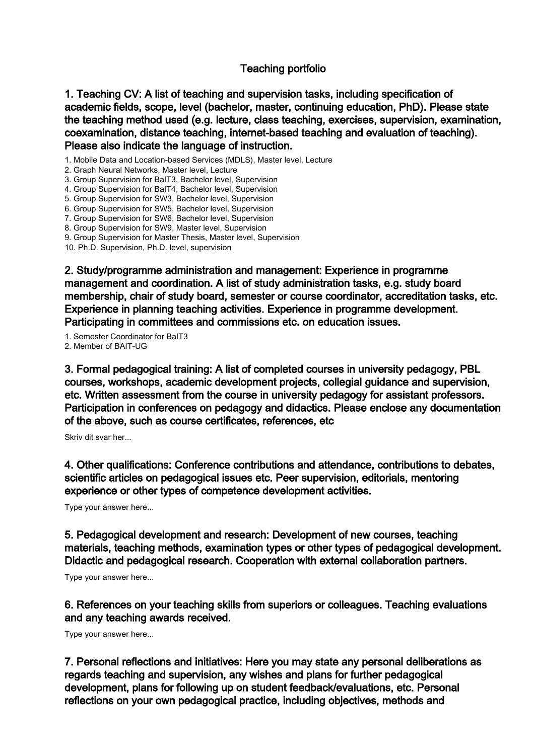## Teaching portfolio

1. Teaching CV: A list of teaching and supervision tasks, including specification of academic fields, scope, level (bachelor, master, continuing education, PhD). Please state the teaching method used (e.g. lecture, class teaching, exercises, supervision, examination, coexamination, distance teaching, internet-based teaching and evaluation of teaching). Please also indicate the language of instruction.

1. Mobile Data and Location-based Services (MDLS), Master level, Lecture

2. Graph Neural Networks, Master level, Lecture

3. Group Supervision for BaIT3, Bachelor level, Supervision

4. Group Supervision for BaIT4, Bachelor level, Supervision

5. Group Supervision for SW3, Bachelor level, Supervision

6. Group Supervision for SW5, Bachelor level, Supervision

7. Group Supervision for SW6, Bachelor level, Supervision

8. Group Supervision for SW9, Master level, Supervision

9. Group Supervision for Master Thesis, Master level, Supervision

10. Ph.D. Supervision, Ph.D. level, supervision

2. Study/programme administration and management: Experience in programme management and coordination. A list of study administration tasks, e.g. study board membership, chair of study board, semester or course coordinator, accreditation tasks, etc. Experience in planning teaching activities. Experience in programme development. Participating in committees and commissions etc. on education issues.

1. Semester Coordinator for BaIT3 2. Member of BAIT-UG

3. Formal pedagogical training: A list of completed courses in university pedagogy, PBL courses, workshops, academic development projects, collegial guidance and supervision, etc. Written assessment from the course in university pedagogy for assistant professors. Participation in conferences on pedagogy and didactics. Please enclose any documentation of the above, such as course certificates, references, etc

Skriv dit svar her...

4. Other qualifications: Conference contributions and attendance, contributions to debates, scientific articles on pedagogical issues etc. Peer supervision, editorials, mentoring experience or other types of competence development activities.

Type your answer here...

5. Pedagogical development and research: Development of new courses, teaching materials, teaching methods, examination types or other types of pedagogical development. Didactic and pedagogical research. Cooperation with external collaboration partners.

Type your answer here...

6. References on your teaching skills from superiors or colleagues. Teaching evaluations and any teaching awards received.

Type your answer here...

7. Personal reflections and initiatives: Here you may state any personal deliberations as regards teaching and supervision, any wishes and plans for further pedagogical development, plans for following up on student feedback/evaluations, etc. Personal reflections on your own pedagogical practice, including objectives, methods and